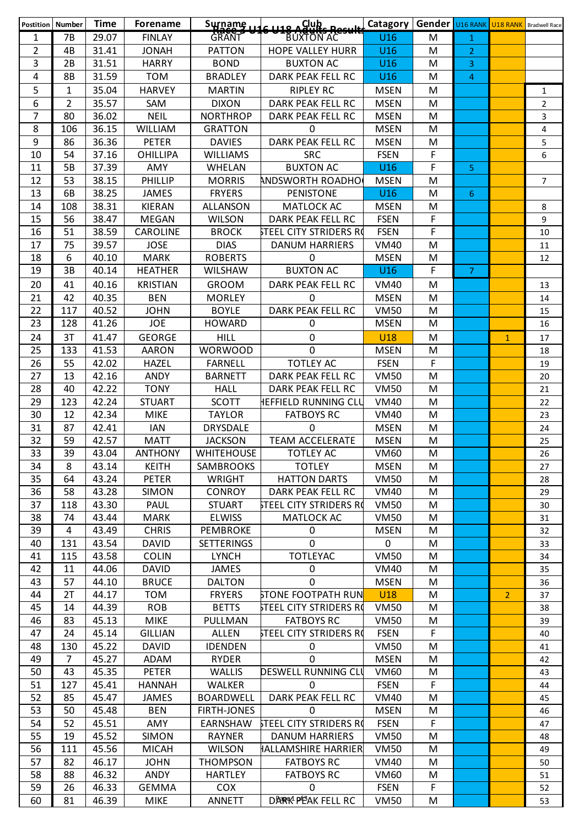| Postition   Number |                | <b>Time</b> | <b>Forename</b> |                    | $S$ urname $116$ $119$ $8$ $S$ $99$ $R_{20}$ $R_{21}$ | Catagory    | <b>Gender U16 RANK U18 RANK</b> Bradwell Race |                |                |                |
|--------------------|----------------|-------------|-----------------|--------------------|-------------------------------------------------------|-------------|-----------------------------------------------|----------------|----------------|----------------|
| 1                  | <b>7B</b>      | 29.07       | <b>FINLAY</b>   | <b>GRANT</b>       | <b>BUXTON AC</b>                                      | U16         | M                                             | $\mathbf{1}$   |                |                |
| $\overline{2}$     | 4B             | 31.41       | <b>JONAH</b>    | <b>PATTON</b>      | <b>HOPE VALLEY HURR</b>                               | U16         | M                                             | $\overline{2}$ |                |                |
| 3                  | 2B             | 31.51       | <b>HARRY</b>    | <b>BOND</b>        | <b>BUXTON AC</b>                                      | U16         | M                                             | 3              |                |                |
| 4                  | 8B             | 31.59       | <b>TOM</b>      | <b>BRADLEY</b>     | DARK PEAK FELL RC                                     | U16         | М                                             | $\overline{4}$ |                |                |
| 5                  | $\mathbf{1}$   | 35.04       | <b>HARVEY</b>   | <b>MARTIN</b>      | <b>RIPLEY RC</b>                                      | <b>MSEN</b> | M                                             |                |                | $\mathbf{1}$   |
| 6                  | $\overline{2}$ | 35.57       | SAM             | <b>DIXON</b>       | DARK PEAK FELL RC                                     | <b>MSEN</b> | M                                             |                |                | $\overline{2}$ |
| $\overline{7}$     | 80             | 36.02       | <b>NEIL</b>     | <b>NORTHROP</b>    | DARK PEAK FELL RC                                     | <b>MSEN</b> | M                                             |                |                | 3              |
| 8                  | 106            | 36.15       | <b>WILLIAM</b>  | <b>GRATTON</b>     | $\mathbf{0}$                                          | <b>MSEN</b> | M                                             |                |                | $\overline{4}$ |
| 9                  | 86             | 36.36       | <b>PETER</b>    | <b>DAVIES</b>      | <b>DARK PEAK FELL RC</b>                              | <b>MSEN</b> | M                                             |                |                | 5              |
| 10                 | 54             | 37.16       | <b>OHILLIPA</b> | <b>WILLIAMS</b>    | <b>SRC</b>                                            | <b>FSEN</b> | F                                             |                |                | 6              |
| 11                 | 5B             | 37.39       | AMY             | <b>WHELAN</b>      | <b>BUXTON AC</b>                                      | U16         | F                                             | 5.             |                |                |
| 12                 | 53             | 38.15       | PHILLIP         | <b>MORRIS</b>      | <b>ANDSWORTH ROADHO</b>                               | <b>MSEN</b> | M                                             |                |                | $\overline{7}$ |
| 13                 | 6B             | 38.25       | <b>JAMES</b>    | <b>FRYERS</b>      | <b>PENISTONE</b>                                      | U16         | M                                             | 6              |                |                |
| 14                 | 108            | 38.31       | <b>KIERAN</b>   | <b>ALLANSON</b>    | MATLOCK AC                                            | <b>MSEN</b> | M                                             |                |                | $\,8\,$        |
| 15                 | 56             | 38.47       | <b>MEGAN</b>    | <b>WILSON</b>      | DARK PEAK FELL RC                                     | <b>FSEN</b> | F                                             |                |                | 9              |
| 16                 | 51             | 38.59       | CAROLINE        | <b>BROCK</b>       | <b>STEEL CITY STRIDERS RO</b>                         | <b>FSEN</b> | F                                             |                |                | 10             |
| 17                 | 75             | 39.57       | <b>JOSE</b>     | <b>DIAS</b>        | <b>DANUM HARRIERS</b>                                 | <b>VM40</b> | M                                             |                |                | 11             |
| 18                 | 6              | 40.10       | <b>MARK</b>     | <b>ROBERTS</b>     | $\mathbf 0$                                           | <b>MSEN</b> | M                                             |                |                | 12             |
| 19                 | 3B             | 40.14       | <b>HEATHER</b>  | <b>WILSHAW</b>     | <b>BUXTON AC</b>                                      | U16         | F.                                            | $\overline{7}$ |                |                |
| 20                 | 41             | 40.16       | <b>KRISTIAN</b> | GROOM              | <b>DARK PEAK FELL RC</b>                              | <b>VM40</b> | M                                             |                |                | 13             |
| 21                 | 42             | 40.35       | <b>BEN</b>      | <b>MORLEY</b>      | $\mathbf 0$                                           | <b>MSEN</b> | M                                             |                |                | 14             |
| 22                 | 117            | 40.52       | <b>JOHN</b>     | <b>BOYLE</b>       | DARK PEAK FELL RC                                     | <b>VM50</b> | M                                             |                |                | 15             |
| 23                 | 128            | 41.26       | <b>JOE</b>      | <b>HOWARD</b>      | 0                                                     | <b>MSEN</b> | M                                             |                |                | 16             |
| 24                 | 3T             | 41.47       | <b>GEORGE</b>   | <b>HILL</b>        | $\mathbf 0$                                           | <b>U18</b>  | M                                             |                | $\mathbf{1}$   | 17             |
| 25                 | 133            | 41.53       | <b>AARON</b>    | <b>WORWOOD</b>     | $\mathbf 0$                                           | <b>MSEN</b> | M                                             |                |                | 18             |
| 26                 | 55             | 42.02       | <b>HAZEL</b>    | <b>FARNELL</b>     | <b>TOTLEY AC</b>                                      | <b>FSEN</b> | F                                             |                |                |                |
| 27                 | 13             | 42.16       | <b>ANDY</b>     | <b>BARNETT</b>     | DARK PEAK FELL RC                                     | <b>VM50</b> | M                                             |                |                | 19             |
| 28                 | 40             | 42.22       | <b>TONY</b>     | <b>HALL</b>        | DARK PEAK FELL RC                                     | <b>VM50</b> | M                                             |                |                | 20             |
| 29                 | 123            | 42.24       | <b>STUART</b>   | <b>SCOTT</b>       | <b>HEFFIELD RUNNING CLU</b>                           | <b>VM40</b> | M                                             |                |                | 21<br>22       |
| 30                 | 12             | 42.34       | <b>MIKE</b>     | <b>TAYLOR</b>      | <b>FATBOYS RC</b>                                     | <b>VM40</b> | M                                             |                |                |                |
| 31                 | 87             | 42.41       | <b>IAN</b>      | <b>DRYSDALE</b>    | $\mathbf 0$                                           | <b>MSEN</b> | M                                             |                |                | 23<br>24       |
| 32                 | 59             | 42.57       | <b>MATT</b>     | <b>JACKSON</b>     | <b>TEAM ACCELERATE</b>                                | <b>MSEN</b> | M                                             |                |                | 25             |
| 33                 | 39             | 43.04       | <b>ANTHONY</b>  | WHITEHOUSE         | <b>TOTLEY AC</b>                                      | <b>VM60</b> | M                                             |                |                | 26             |
| 34                 | 8              | 43.14       | <b>KEITH</b>    | SAMBROOKS          | <b>TOTLEY</b>                                         | <b>MSEN</b> | M                                             |                |                | 27             |
| 35                 | 64             | 43.24       | <b>PETER</b>    | <b>WRIGHT</b>      | <b>HATTON DARTS</b>                                   | <b>VM50</b> | M                                             |                |                | 28             |
| 36                 | 58             | 43.28       | <b>SIMON</b>    | <b>CONROY</b>      | DARK PEAK FELL RC                                     | <b>VM40</b> | M                                             |                |                | 29             |
| 37                 | 118            | 43.30       | PAUL            | <b>STUART</b>      | STEEL CITY STRIDERS RO                                | <b>VM50</b> | M                                             |                |                |                |
| 38                 | 74             | 43.44       | <b>MARK</b>     | <b>ELWISS</b>      | <b>MATLOCK AC</b>                                     | <b>VM50</b> | M                                             |                |                | 30<br>31       |
| 39                 | 4              | 43.49       | <b>CHRIS</b>    | <b>PEMBROKE</b>    | 0                                                     | <b>MSEN</b> | M                                             |                |                | 32             |
| 40                 | 131            | 43.54       | <b>DAVID</b>    | <b>SETTERINGS</b>  | $\Omega$                                              | $\mathbf 0$ | M                                             |                |                | 33             |
| 41                 | 115            | 43.58       | <b>COLIN</b>    | <b>LYNCH</b>       | <b>TOTLEYAC</b>                                       | <b>VM50</b> | M                                             |                |                | 34             |
| 42                 | 11             | 44.06       | <b>DAVID</b>    | <b>JAMES</b>       | 0                                                     | <b>VM40</b> | M                                             |                |                | 35             |
| 43                 | 57             | 44.10       | <b>BRUCE</b>    | <b>DALTON</b>      | 0                                                     | <b>MSEN</b> | M                                             |                |                | 36             |
| 44                 | 2T             | 44.17       | <b>TOM</b>      | <b>FRYERS</b>      | <b>STONE FOOTPATH RUN</b>                             | <b>U18</b>  | M                                             |                | 2 <sup>1</sup> | 37             |
| 45                 | 14             | 44.39       | <b>ROB</b>      | <b>BETTS</b>       | STEEL CITY STRIDERS RO                                | <b>VM50</b> | M                                             |                |                | 38             |
| 46                 | 83             | 45.13       | <b>MIKE</b>     | PULLMAN            | <b>FATBOYS RC</b>                                     | <b>VM50</b> | M                                             |                |                | 39             |
| 47                 | 24             | 45.14       | <b>GILLIAN</b>  | <b>ALLEN</b>       | STEEL CITY STRIDERS RO                                | <b>FSEN</b> | F                                             |                |                | 40             |
| 48                 | 130            | 45.22       | <b>DAVID</b>    | <b>IDENDEN</b>     | 0                                                     | <b>VM50</b> | M                                             |                |                | 41             |
| 49                 | 7              | 45.27       | ADAM            | <b>RYDER</b>       | 0                                                     | <b>MSEN</b> | M                                             |                |                | 42             |
| 50                 | 43             | 45.35       | <b>PETER</b>    | <b>WALLIS</b>      | DESWELL RUNNING CLI                                   | <b>VM60</b> | M                                             |                |                | 43             |
| 51                 | 127            | 45.41       | <b>HANNAH</b>   | <b>WALKER</b>      | 0                                                     | <b>FSEN</b> | F                                             |                |                | 44             |
| 52                 | 85             | 45.47       | <b>JAMES</b>    | <b>BOARDWELL</b>   | DARK PEAK FELL RC                                     | <b>VM40</b> | M                                             |                |                | 45             |
| 53                 | 50             | 45.48       | <b>BEN</b>      | <b>FIRTH-JONES</b> | 0                                                     | <b>MSEN</b> | M                                             |                |                | 46             |
| 54                 | 52             | 45.51       | AMY             | EARNSHAW           | <b>STEEL CITY STRIDERS RO</b>                         | <b>FSEN</b> | F                                             |                |                | 47             |
| 55                 | 19             | 45.52       | <b>SIMON</b>    | <b>RAYNER</b>      | <b>DANUM HARRIERS</b>                                 | <b>VM50</b> | M                                             |                |                | 48             |
| 56                 | 111            | 45.56       | <b>MICAH</b>    | <b>WILSON</b>      | HALLAMSHIRE HARRIER                                   | <b>VM50</b> | M                                             |                |                | 49             |
| 57                 | 82             | 46.17       | <b>JOHN</b>     | <b>THOMPSON</b>    | <b>FATBOYS RC</b>                                     | <b>VM40</b> | M                                             |                |                | 50             |
| 58                 | 88             | 46.32       | ANDY            | <b>HARTLEY</b>     | <b>FATBOYS RC</b>                                     | <b>VM60</b> | M                                             |                |                | 51             |
| 59                 | 26             | 46.33       | <b>GEMMA</b>    | <b>COX</b>         | 0                                                     | <b>FSEN</b> | F.                                            |                |                | 52             |
| 60                 | 81             | 46.39       | <b>MIKE</b>     | ANNETT             | DARRA PEAK FELL RC                                    | <b>VM50</b> | M                                             |                |                | 53             |
|                    |                |             |                 |                    |                                                       |             |                                               |                |                |                |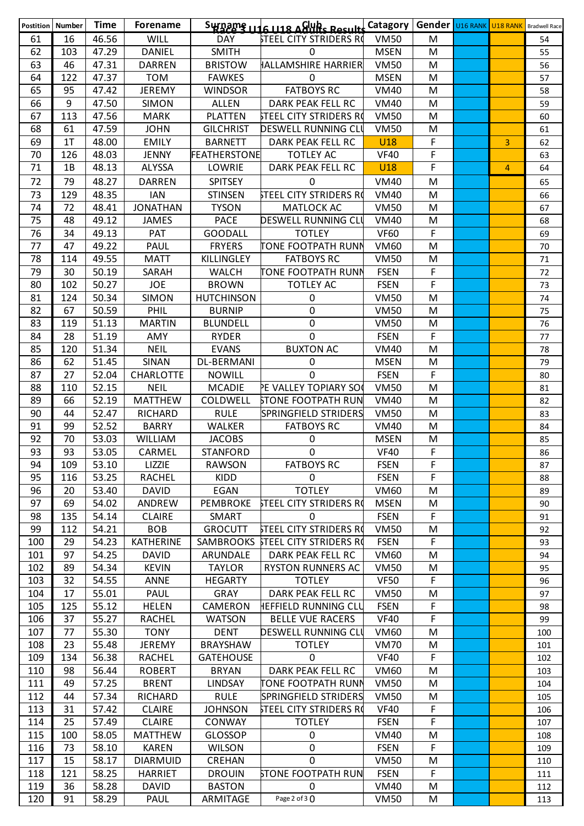|            | <b>Postition Number</b> | <b>Time</b>    | <b>Forename</b>               |                                | $S_{\text{W}}$ $\Omega_{\text{B}}$ $\Omega_{\text{B}}$ $\Omega_{\text{B}}$ $\Omega_{\text{B}}$ $\Omega_{\text{B}}$ $\Omega_{\text{B}}$ $\Omega_{\text{B}}$ $\Omega_{\text{B}}$ $\Omega_{\text{B}}$ $\Omega_{\text{B}}$ |                            | <b>Gender</b> U16 RANK U18 RANK |                | <b>Bradwell Race</b> |
|------------|-------------------------|----------------|-------------------------------|--------------------------------|------------------------------------------------------------------------------------------------------------------------------------------------------------------------------------------------------------------------|----------------------------|---------------------------------|----------------|----------------------|
| 61         | 16                      | 46.56          | WILL                          | <b>DAY</b>                     | <b>STEEL CITY STRIDERS RO</b>                                                                                                                                                                                          | <b>VM50</b>                | M                               |                | 54                   |
| 62         | 103                     | 47.29          | <b>DANIEL</b>                 | <b>SMITH</b>                   | 0                                                                                                                                                                                                                      | <b>MSEN</b>                | M                               |                | 55                   |
| 63         | 46                      | 47.31          | <b>DARREN</b>                 | <b>BRISTOW</b>                 | <b>HALLAMSHIRE HARRIER</b>                                                                                                                                                                                             | <b>VM50</b>                | M                               |                | 56                   |
| 64         | 122                     | 47.37          | <b>TOM</b>                    | <b>FAWKES</b>                  | 0                                                                                                                                                                                                                      | <b>MSEN</b>                | M                               |                | 57                   |
| 65         | 95                      | 47.42          | <b>JEREMY</b>                 | <b>WINDSOR</b>                 | <b>FATBOYS RC</b>                                                                                                                                                                                                      | <b>VM40</b>                | M                               |                | 58                   |
| 66         | 9                       | 47.50          | <b>SIMON</b>                  | <b>ALLEN</b>                   | DARK PEAK FELL RC                                                                                                                                                                                                      | <b>VM40</b>                | M                               |                | 59                   |
| 67         | 113                     | 47.56          | <b>MARK</b>                   | <b>PLATTEN</b>                 | STEEL CITY STRIDERS RO                                                                                                                                                                                                 | <b>VM50</b>                | M                               |                | 60                   |
| 68         | 61                      | 47.59          | <b>JOHN</b>                   | <b>GILCHRIST</b>               | DESWELL RUNNING CLU                                                                                                                                                                                                    | <b>VM50</b>                | M                               |                | 61                   |
| 69         | 1 <sub>T</sub>          | 48.00          | <b>EMILY</b>                  | <b>BARNETT</b>                 | DARK PEAK FELL RC                                                                                                                                                                                                      | <b>U18</b>                 | F                               | 3              | 62                   |
| 70         | 126                     | 48.03          | <b>JENNY</b>                  | <b>FEATHERSTONE</b>            | <b>TOTLEY AC</b>                                                                                                                                                                                                       | <b>VF40</b>                | F                               |                | 63                   |
| 71         | 1B                      | 48.13          | ALYSSA                        | LOWRIE                         | DARK PEAK FELL RC                                                                                                                                                                                                      | <b>U18</b>                 | F                               | $\overline{4}$ | 64                   |
| 72         | 79                      | 48.27          | <b>DARREN</b>                 | <b>SPITSEY</b>                 | $\mathbf 0$                                                                                                                                                                                                            | <b>VM40</b>                | M                               |                | 65                   |
| 73         | 129                     | 48.35          | <b>IAN</b>                    | <b>STINSEN</b>                 | STEEL CITY STRIDERS RO                                                                                                                                                                                                 | <b>VM40</b>                | M                               |                | 66                   |
| 74         | 72                      | 48.41          | <b>JONATHAN</b>               | <b>TYSON</b>                   | MATLOCK AC                                                                                                                                                                                                             | <b>VM50</b>                | M                               |                | 67                   |
| 75         | 48                      | 49.12          | <b>JAMES</b>                  | <b>PACE</b>                    | DESWELL RUNNING CLU                                                                                                                                                                                                    | <b>VM40</b>                | M                               |                | 68                   |
| 76         | 34                      | 49.13          | PAT                           | <b>GOODALL</b>                 | <b>TOTLEY</b>                                                                                                                                                                                                          | <b>VF60</b>                | F                               |                | 69                   |
| 77         | 47                      | 49.22          | <b>PAUL</b>                   | <b>FRYERS</b>                  | <b>TONE FOOTPATH RUNN</b>                                                                                                                                                                                              | <b>VM60</b>                | M                               |                | 70                   |
| 78         | 114                     | 49.55          | <b>MATT</b>                   | KILLINGLEY                     | <b>FATBOYS RC</b>                                                                                                                                                                                                      | <b>VM50</b>                | M                               |                | 71                   |
| 79         | 30                      | 50.19          | SARAH                         | <b>WALCH</b>                   | TONE FOOTPATH RUNN                                                                                                                                                                                                     | <b>FSEN</b>                | F                               |                | 72                   |
| 80         | 102                     | 50.27          | <b>JOE</b>                    | <b>BROWN</b>                   | <b>TOTLEY AC</b>                                                                                                                                                                                                       | <b>FSEN</b>                | F                               |                | 73                   |
| 81         | 124                     | 50.34          | <b>SIMON</b>                  | <b>HUTCHINSON</b>              | 0                                                                                                                                                                                                                      | <b>VM50</b>                | M                               |                | 74                   |
| 82         | 67                      | 50.59          | PHIL                          | <b>BURNIP</b>                  | 0                                                                                                                                                                                                                      | <b>VM50</b>                | M                               |                | 75                   |
| 83         | 119                     | 51.13          | <b>MARTIN</b>                 | <b>BLUNDELL</b>                | $\pmb{0}$                                                                                                                                                                                                              | <b>VM50</b>                | M                               |                | 76                   |
| 84         | 28                      | 51.19          | AMY                           | <b>RYDER</b>                   | 0                                                                                                                                                                                                                      | <b>FSEN</b>                | F                               |                | 77                   |
| 85         | 120                     | 51.34          | <b>NEIL</b>                   | <b>EVANS</b>                   | <b>BUXTON AC</b>                                                                                                                                                                                                       | <b>VM40</b>                | M                               |                | 78                   |
| 86         | 62                      | 51.45          | SINAN                         | DL-BERMANI                     | 0                                                                                                                                                                                                                      | <b>MSEN</b>                | M                               |                | 79                   |
| 87         | 27                      | 52.04          | CHARLOTTE                     | <b>NOWILL</b>                  | $\Omega$                                                                                                                                                                                                               | <b>FSEN</b>                | F                               |                | 80                   |
| 88         | 110                     | 52.15          | <b>NEIL</b>                   | <b>MCADIE</b>                  | PE VALLEY TOPIARY SO                                                                                                                                                                                                   | <b>VM50</b>                | M                               |                | 81                   |
| 89         | 66                      | 52.19          | <b>MATTHEW</b>                | COLDWELL                       | <b>STONE FOOTPATH RUN</b>                                                                                                                                                                                              | <b>VM40</b>                | M                               |                | 82                   |
| 90         | 44                      | 52.47          | <b>RICHARD</b>                | <b>RULE</b>                    | SPRINGFIELD STRIDERS                                                                                                                                                                                                   | <b>VM50</b>                | M                               |                | 83                   |
| 91         | 99                      | 52.52          | <b>BARRY</b>                  | <b>WALKER</b>                  | <b>FATBOYS RC</b>                                                                                                                                                                                                      | <b>VM40</b>                | M                               |                | 84                   |
| 92         | 70                      | 53.03          | <b>WILLIAM</b>                | <b>JACOBS</b>                  | 0                                                                                                                                                                                                                      | <b>MSEN</b>                | M                               |                | 85                   |
| 93         | 93                      | 53.05          | CARMEL                        | <b>STANFORD</b>                | $\mathbf 0$                                                                                                                                                                                                            | <b>VF40</b>                | F                               |                | 86                   |
| 94         | 109                     | 53.10          | LIZZIE                        | <b>RAWSON</b>                  | <b>FATBOYS RC</b>                                                                                                                                                                                                      | <b>FSEN</b>                | F                               |                | 87                   |
| 95         | 116                     | 53.25          | RACHEL                        | <b>KIDD</b>                    | 0                                                                                                                                                                                                                      | <b>FSEN</b>                | F                               |                | 88                   |
| 96         | 20                      | 53.40          | <b>DAVID</b>                  | EGAN                           | <b>TOTLEY</b>                                                                                                                                                                                                          | <b>VM60</b>                | M                               |                | 89                   |
| 97         | 69                      | 54.02          | ANDREW                        | <b>PEMBROKE</b>                | <b>STEEL CITY STRIDERS RO</b>                                                                                                                                                                                          | <b>MSEN</b>                | M                               |                | 90                   |
| 98         | 135                     | 54.14          | <b>CLAIRE</b>                 | SMART                          | $\mathbf{0}$                                                                                                                                                                                                           | <b>FSEN</b>                | F                               |                | 91                   |
| 99         | 112                     | 54.21          | <b>BOB</b>                    | <b>GROCUTT</b>                 | <b>STEEL CITY STRIDERS RO</b>                                                                                                                                                                                          | <b>VM50</b>                | M                               |                | 92                   |
| 100        | 29                      | 54.23          | <b>KATHERINE</b>              |                                | SAMBROOKS STEEL CITY STRIDERS RO                                                                                                                                                                                       | <b>FSEN</b>                | F                               |                | 93                   |
| 101        | 97<br>89                | 54.25          | <b>DAVID</b>                  | ARUNDALE                       | DARK PEAK FELL RC                                                                                                                                                                                                      | <b>VM60</b>                | M                               |                | 94                   |
| 102        | 32                      | 54.34          | <b>KEVIN</b><br><b>ANNE</b>   | <b>TAYLOR</b>                  | <b>RYSTON RUNNERS AC</b><br><b>TOTLEY</b>                                                                                                                                                                              | <b>VM50</b>                | M<br>F                          |                | 95                   |
| 103        | 17                      | 54.55          | PAUL                          | <b>HEGARTY</b>                 | DARK PEAK FELL RC                                                                                                                                                                                                      | <b>VF50</b>                | M                               |                | 96                   |
| 104<br>105 | 125                     | 55.01<br>55.12 | <b>HELEN</b>                  | GRAY<br>CAMERON                | <b>HEFFIELD RUNNING CLU</b>                                                                                                                                                                                            | <b>VM50</b><br><b>FSEN</b> | F                               |                | 97<br>98             |
| 106        | 37                      | 55.27          | <b>RACHEL</b>                 | <b>WATSON</b>                  | <b>BELLE VUE RACERS</b>                                                                                                                                                                                                | <b>VF40</b>                | F                               |                |                      |
|            |                         | 55.30          |                               |                                |                                                                                                                                                                                                                        |                            |                                 |                | 99                   |
| 107        | 77<br>23                |                | <b>TONY</b>                   | <b>DENT</b><br><b>BRAYSHAW</b> | DESWELL RUNNING CLI                                                                                                                                                                                                    | <b>VM60</b><br><b>VM70</b> | M                               |                | 100                  |
| 108<br>109 | 134                     | 55.48<br>56.38 | <b>JEREMY</b><br>RACHEL       | <b>GATEHOUSE</b>               | <b>TOTLEY</b><br>0                                                                                                                                                                                                     | <b>VF40</b>                | M<br>F                          |                | 101                  |
| 110        | 98                      | 56.44          |                               | <b>BRYAN</b>                   | DARK PEAK FELL RC                                                                                                                                                                                                      | <b>VM60</b>                | M                               |                | 102                  |
| 111        | 49                      | 57.25          | <b>ROBERT</b><br><b>BRENT</b> | <b>LINDSAY</b>                 | TONE FOOTPATH RUNN                                                                                                                                                                                                     | <b>VM50</b>                | M                               |                | 103<br>104           |
| 112        | 44                      | 57.34          | RICHARD                       | <b>RULE</b>                    | SPRINGFIELD STRIDERS                                                                                                                                                                                                   | <b>VM50</b>                | M                               |                | 105                  |
| 113        | 31                      | 57.42          | <b>CLAIRE</b>                 | <b>JOHNSON</b>                 | <b>STEEL CITY STRIDERS RO</b>                                                                                                                                                                                          | <b>VF40</b>                | F                               |                |                      |
| 114        | 25                      | 57.49          | <b>CLAIRE</b>                 | CONWAY                         | <b>TOTLEY</b>                                                                                                                                                                                                          | <b>FSEN</b>                | F                               |                | 106<br>107           |
| 115        | 100                     | 58.05          | <b>MATTHEW</b>                | <b>GLOSSOP</b>                 | 0                                                                                                                                                                                                                      | <b>VM40</b>                | M                               |                | 108                  |
| 116        | 73                      | 58.10          | <b>KAREN</b>                  | <b>WILSON</b>                  | 0                                                                                                                                                                                                                      | <b>FSEN</b>                | F                               |                |                      |
| 117        | 15                      | 58.17          | <b>DIARMUID</b>               | CREHAN                         | 0                                                                                                                                                                                                                      | <b>VM50</b>                | M                               |                | 109                  |
| 118        | 121                     | 58.25          | <b>HARRIET</b>                | <b>DROUIN</b>                  | <b>STONE FOOTPATH RUN</b>                                                                                                                                                                                              | <b>FSEN</b>                | F                               |                | 110                  |
|            | 36                      |                | <b>DAVID</b>                  |                                |                                                                                                                                                                                                                        |                            |                                 |                | 111                  |
| 119        |                         | 58.28          |                               | <b>BASTON</b>                  | 0<br>Page 2 of 3 0                                                                                                                                                                                                     | <b>VM40</b>                | M                               |                | 112                  |
| 120        | 91                      | 58.29          | PAUL                          | ARMITAGE                       |                                                                                                                                                                                                                        | <b>VM50</b>                | M                               |                | 113                  |